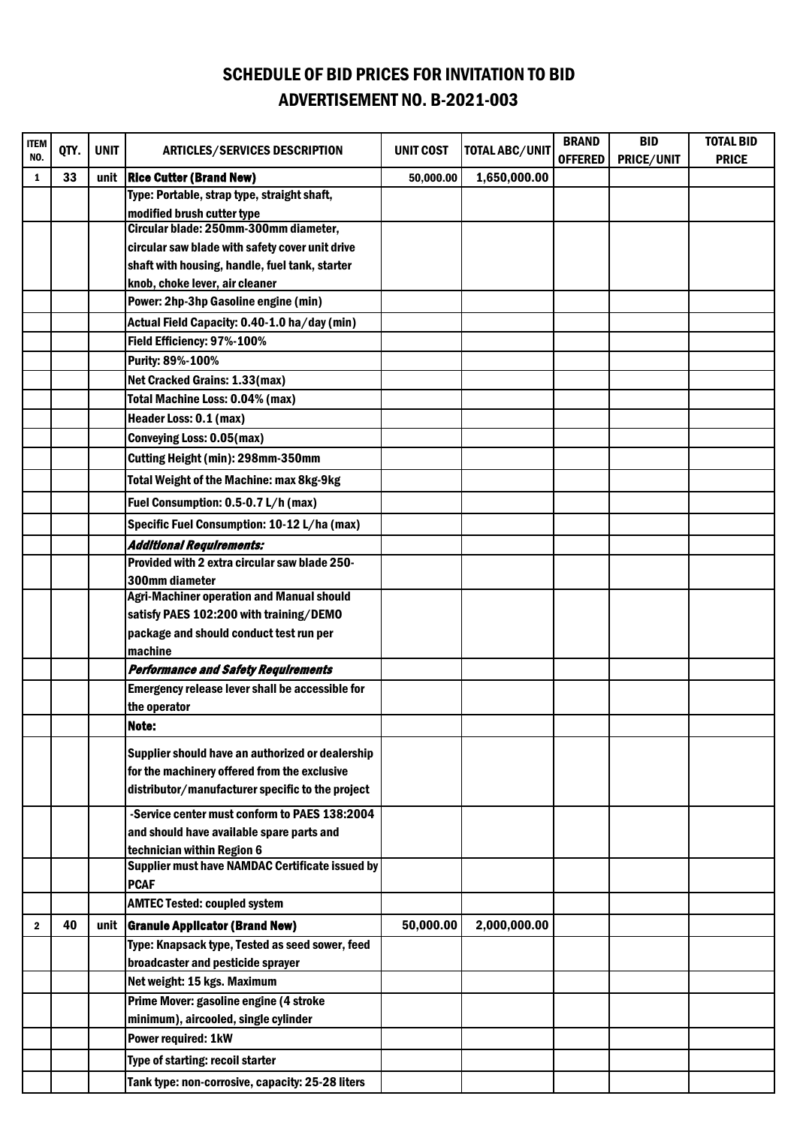## SCHEDULE OF BID PRICES FOR INVITATION TO BID ADVERTISEMENT NO. B-2021-003

| ITEM | QTY. | <b>UNIT</b> | <b>ARTICLES/SERVICES DESCRIPTION</b>                                                     | <b>UNIT COST</b> | <b>TOTAL ABC/UNIT</b> | <b>BRAND</b>   | <b>BID</b> | <b>TOTAL BID</b> |
|------|------|-------------|------------------------------------------------------------------------------------------|------------------|-----------------------|----------------|------------|------------------|
| NO.  |      |             |                                                                                          |                  |                       | <b>OFFERED</b> | PRICE/UNIT | <b>PRICE</b>     |
| 1    | 33   |             | unit   Rice Cutter (Brand New)                                                           | 50,000.00        | 1,650,000.00          |                |            |                  |
|      |      |             | Type: Portable, strap type, straight shaft,                                              |                  |                       |                |            |                  |
|      |      |             | modified brush cutter type                                                               |                  |                       |                |            |                  |
|      |      |             | Circular blade: 250mm-300mm diameter,<br>circular saw blade with safety cover unit drive |                  |                       |                |            |                  |
|      |      |             | shaft with housing, handle, fuel tank, starter                                           |                  |                       |                |            |                  |
|      |      |             | knob, choke lever, air cleaner                                                           |                  |                       |                |            |                  |
|      |      |             | Power: 2hp-3hp Gasoline engine (min)                                                     |                  |                       |                |            |                  |
|      |      |             | Actual Field Capacity: 0.40-1.0 ha/day (min)                                             |                  |                       |                |            |                  |
|      |      |             | Field Efficiency: 97%-100%                                                               |                  |                       |                |            |                  |
|      |      |             | Purity: 89%-100%                                                                         |                  |                       |                |            |                  |
|      |      |             | Net Cracked Grains: 1.33(max)                                                            |                  |                       |                |            |                  |
|      |      |             | Total Machine Loss: 0.04% (max)                                                          |                  |                       |                |            |                  |
|      |      |             | Header Loss: 0.1 (max)                                                                   |                  |                       |                |            |                  |
|      |      |             | <b>Conveying Loss: 0.05(max)</b>                                                         |                  |                       |                |            |                  |
|      |      |             | Cutting Height (min): 298mm-350mm                                                        |                  |                       |                |            |                  |
|      |      |             | Total Weight of the Machine: max 8kg-9kg                                                 |                  |                       |                |            |                  |
|      |      |             | Fuel Consumption: 0.5-0.7 L/h (max)                                                      |                  |                       |                |            |                  |
|      |      |             | Specific Fuel Consumption: 10-12 L/ha (max)                                              |                  |                       |                |            |                  |
|      |      |             | Additional Requirements:                                                                 |                  |                       |                |            |                  |
|      |      |             | Provided with 2 extra circular saw blade 250-                                            |                  |                       |                |            |                  |
|      |      |             | 300mm diameter                                                                           |                  |                       |                |            |                  |
|      |      |             | <b>Agri-Machiner operation and Manual should</b>                                         |                  |                       |                |            |                  |
|      |      |             | satisfy PAES 102:200 with training/DEMO                                                  |                  |                       |                |            |                  |
|      |      |             | package and should conduct test run per                                                  |                  |                       |                |            |                  |
|      |      |             | machine                                                                                  |                  |                       |                |            |                  |
|      |      |             | <b>Performance and Safety Requirements</b>                                               |                  |                       |                |            |                  |
|      |      |             | Emergency release lever shall be accessible for                                          |                  |                       |                |            |                  |
|      |      |             | the operator                                                                             |                  |                       |                |            |                  |
|      |      |             | Note:                                                                                    |                  |                       |                |            |                  |
|      |      |             | Supplier should have an authorized or dealership                                         |                  |                       |                |            |                  |
|      |      |             | for the machinery offered from the exclusive                                             |                  |                       |                |            |                  |
|      |      |             | distributor/manufacturer specific to the project                                         |                  |                       |                |            |                  |
|      |      |             | -Service center must conform to PAES 138:2004                                            |                  |                       |                |            |                  |
|      |      |             | and should have available spare parts and                                                |                  |                       |                |            |                  |
|      |      |             | technician within Region 6                                                               |                  |                       |                |            |                  |
|      |      |             | Supplier must have NAMDAC Certificate issued by<br><b>PCAF</b>                           |                  |                       |                |            |                  |
|      |      |             | <b>AMTEC Tested: coupled system</b>                                                      |                  |                       |                |            |                  |
| 2    | 40   | unit        | <b>Granule Applicator (Brand New)</b>                                                    | 50,000.00        | 2,000,000.00          |                |            |                  |
|      |      |             | Type: Knapsack type, Tested as seed sower, feed                                          |                  |                       |                |            |                  |
|      |      |             | broadcaster and pesticide sprayer                                                        |                  |                       |                |            |                  |
|      |      |             | Net weight: 15 kgs. Maximum                                                              |                  |                       |                |            |                  |
|      |      |             | Prime Mover: gasoline engine (4 stroke                                                   |                  |                       |                |            |                  |
|      |      |             | minimum), aircooled, single cylinder                                                     |                  |                       |                |            |                  |
|      |      |             | Power required: 1kW                                                                      |                  |                       |                |            |                  |
|      |      |             | Type of starting: recoil starter                                                         |                  |                       |                |            |                  |
|      |      |             | Tank type: non-corrosive, capacity: 25-28 liters                                         |                  |                       |                |            |                  |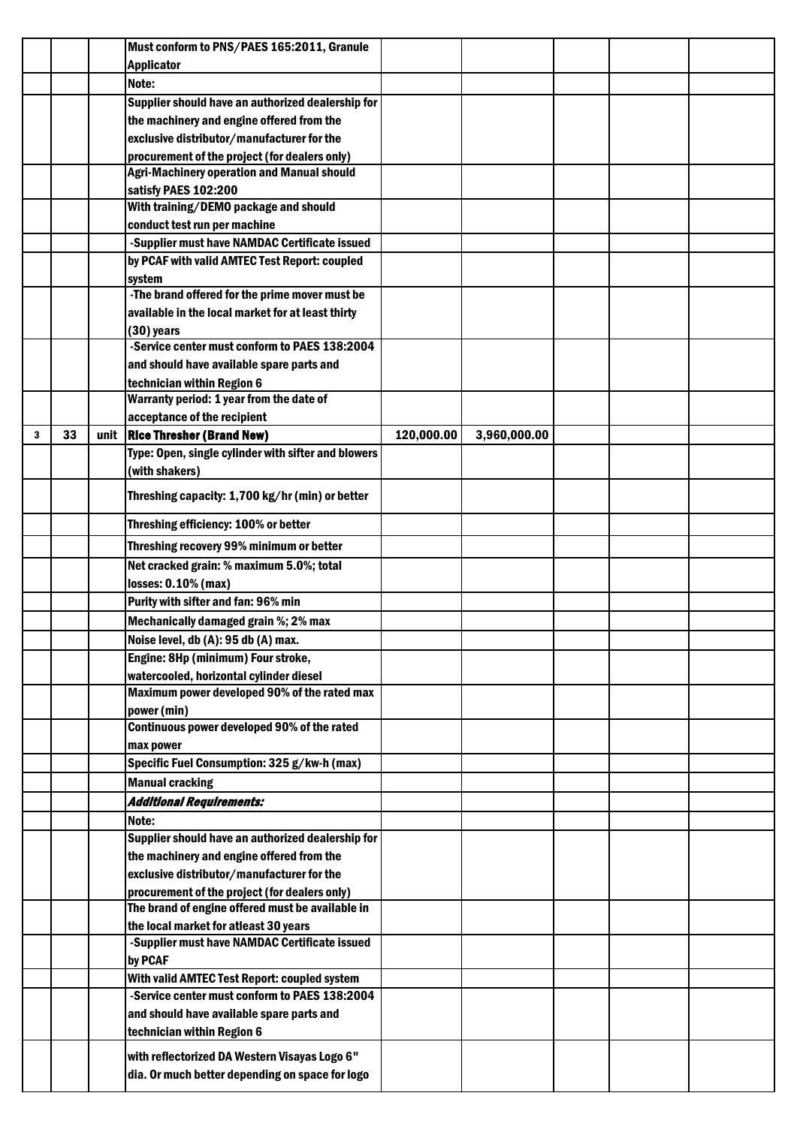|   |    |      | Must conform to PNS/PAES 165:2011, Granule          |            |              |  |  |
|---|----|------|-----------------------------------------------------|------------|--------------|--|--|
|   |    |      | <b>Applicator</b>                                   |            |              |  |  |
|   |    |      | Note:                                               |            |              |  |  |
|   |    |      | Supplier should have an authorized dealership for   |            |              |  |  |
|   |    |      | the machinery and engine offered from the           |            |              |  |  |
|   |    |      | exclusive distributor/manufacturer for the          |            |              |  |  |
|   |    |      | procurement of the project (for dealers only)       |            |              |  |  |
|   |    |      | <b>Agri-Machinery operation and Manual should</b>   |            |              |  |  |
|   |    |      | satisfy PAES 102:200                                |            |              |  |  |
|   |    |      | With training/DEMO package and should               |            |              |  |  |
|   |    |      | conduct test run per machine                        |            |              |  |  |
|   |    |      | -Supplier must have NAMDAC Certificate issued       |            |              |  |  |
|   |    |      | by PCAF with valid AMTEC Test Report: coupled       |            |              |  |  |
|   |    |      | system                                              |            |              |  |  |
|   |    |      | -The brand offered for the prime mover must be      |            |              |  |  |
|   |    |      | available in the local market for at least thirty   |            |              |  |  |
|   |    |      | $(30)$ years                                        |            |              |  |  |
|   |    |      | -Service center must conform to PAES 138:2004       |            |              |  |  |
|   |    |      | and should have available spare parts and           |            |              |  |  |
|   |    |      | technician within Region 6                          |            |              |  |  |
|   |    |      | Warranty period: 1 year from the date of            |            |              |  |  |
|   |    |      | acceptance of the recipient                         |            |              |  |  |
| 3 | 33 | unit | <b>Rice Thresher (Brand New)</b>                    | 120,000.00 | 3,960,000.00 |  |  |
|   |    |      | Type: Open, single cylinder with sifter and blowers |            |              |  |  |
|   |    |      | (with shakers)                                      |            |              |  |  |
|   |    |      | Threshing capacity: 1,700 kg/hr (min) or better     |            |              |  |  |
|   |    |      | Threshing efficiency: 100% or better                |            |              |  |  |
|   |    |      | Threshing recovery 99% minimum or better            |            |              |  |  |
|   |    |      | Net cracked grain: % maximum 5.0%; total            |            |              |  |  |
|   |    |      | losses: 0.10% (max)                                 |            |              |  |  |
|   |    |      | Purity with sifter and fan: 96% min                 |            |              |  |  |
|   |    |      | Mechanically damaged grain %; 2% max                |            |              |  |  |
|   |    |      | Noise level, db (A): 95 db (A) max.                 |            |              |  |  |
|   |    |      | Engine: 8Hp (minimum) Four stroke,                  |            |              |  |  |
|   |    |      | watercooled, horizontal cylinder diesel             |            |              |  |  |
|   |    |      | Maximum power developed 90% of the rated max        |            |              |  |  |
|   |    |      | power (min)                                         |            |              |  |  |
|   |    |      | Continuous power developed 90% of the rated         |            |              |  |  |
|   |    |      | max power                                           |            |              |  |  |
|   |    |      | Specific Fuel Consumption: 325 g/kw-h (max)         |            |              |  |  |
|   |    |      | <b>Manual cracking</b>                              |            |              |  |  |
|   |    |      | Additional Requirements:                            |            |              |  |  |
|   |    |      | Note:                                               |            |              |  |  |
|   |    |      | Supplier should have an authorized dealership for   |            |              |  |  |
|   |    |      | the machinery and engine offered from the           |            |              |  |  |
|   |    |      | exclusive distributor/manufacturer for the          |            |              |  |  |
|   |    |      | procurement of the project (for dealers only)       |            |              |  |  |
|   |    |      | The brand of engine offered must be available in    |            |              |  |  |
|   |    |      | the local market for atleast 30 years               |            |              |  |  |
|   |    |      | -Supplier must have NAMDAC Certificate issued       |            |              |  |  |
|   |    |      | by PCAF                                             |            |              |  |  |
|   |    |      | With valid AMTEC Test Report: coupled system        |            |              |  |  |
|   |    |      | -Service center must conform to PAES 138:2004       |            |              |  |  |
|   |    |      | and should have available spare parts and           |            |              |  |  |
|   |    |      | technician within Region 6                          |            |              |  |  |
|   |    |      | with reflectorized DA Western Visayas Logo 6"       |            |              |  |  |
|   |    |      | dia. Or much better depending on space for logo     |            |              |  |  |